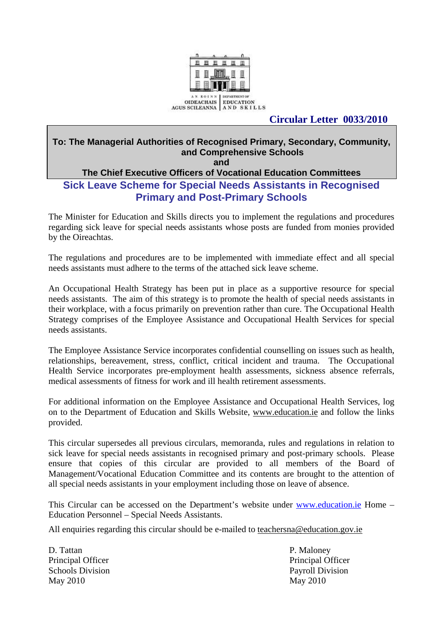

# **Circular Letter 0033/2010**

#### **To: The Managerial Authorities of Recognised Primary, Secondary, Community, and Comprehensive Schools and**

# **The Chief Executive Officers of Vocational Education Committees Sick Leave Scheme for Special Needs Assistants in Recognised Primary and Post-Primary Schools**

The Minister for Education and Skills directs you to implement the regulations and procedures regarding sick leave for special needs assistants whose posts are funded from monies provided by the Oireachtas.

The regulations and procedures are to be implemented with immediate effect and all special needs assistants must adhere to the terms of the attached sick leave scheme.

An Occupational Health Strategy has been put in place as a supportive resource for special needs assistants. The aim of this strategy is to promote the health of special needs assistants in their workplace, with a focus primarily on prevention rather than cure. The Occupational Health Strategy comprises of the Employee Assistance and Occupational Health Services for special needs assistants.

The Employee Assistance Service incorporates confidential counselling on issues such as health, relationships, bereavement, stress, conflict, critical incident and trauma. The Occupational Health Service incorporates pre-employment health assessments, sickness absence referrals, medical assessments of fitness for work and ill health retirement assessments.

For additional information on the Employee Assistance and Occupational Health Services, log on to the Department of Education and Skills Website, [www.education.ie](http://www.education.ie/) and follow the links provided.

This circular supersedes all previous circulars, memoranda, rules and regulations in relation to sick leave for special needs assistants in recognised primary and post-primary schools. Please ensure that copies of this circular are provided to all members of the Board of Management/Vocational Education Committee and its contents are brought to the attention of all special needs assistants in your employment including those on leave of absence.

This Circular can be accessed on the Department's website under [www.education.ie](http://www.education.ie/) Home – Education Personnel – Special Needs Assistants.

All enquiries regarding this circular should be e-mailed to teachersna@education.gov.ie

D. Tattan P. Maloney Principal Officer Principal Officer Schools Division **Payroll Division** May 2010 May 2010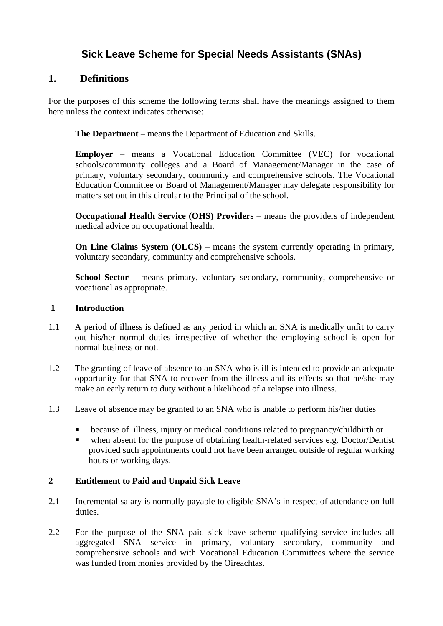# **Sick Leave Scheme for Special Needs Assistants (SNAs)**

# **1. Definitions**

For the purposes of this scheme the following terms shall have the meanings assigned to them here unless the context indicates otherwise:

**The Department** – means the Department of Education and Skills.

**Employer** – means a Vocational Education Committee (VEC) for vocational schools/community colleges and a Board of Management/Manager in the case of primary, voluntary secondary, community and comprehensive schools. The Vocational Education Committee or Board of Management/Manager may delegate responsibility for matters set out in this circular to the Principal of the school.

**Occupational Health Service (OHS) Providers** – means the providers of independent medical advice on occupational health.

**On Line Claims System (OLCS)** – means the system currently operating in primary, voluntary secondary, community and comprehensive schools.

**School Sector** – means primary, voluntary secondary, community, comprehensive or vocational as appropriate.

#### **1 Introduction**

- 1.1 A period of illness is defined as any period in which an SNA is medically unfit to carry out his/her normal duties irrespective of whether the employing school is open for normal business or not.
- 1.2 The granting of leave of absence to an SNA who is ill is intended to provide an adequate opportunity for that SNA to recover from the illness and its effects so that he/she may make an early return to duty without a likelihood of a relapse into illness.
- 1.3 Leave of absence may be granted to an SNA who is unable to perform his/her duties
	- because of illness, injury or medical conditions related to pregnancy/childbirth or
	- when absent for the purpose of obtaining health-related services e.g. Doctor/Dentist provided such appointments could not have been arranged outside of regular working hours or working days.

# **2 Entitlement to Paid and Unpaid Sick Leave**

- 2.1 Incremental salary is normally payable to eligible SNA's in respect of attendance on full duties.
- 2.2 For the purpose of the SNA paid sick leave scheme qualifying service includes all aggregated SNA service in primary, voluntary secondary, community and comprehensive schools and with Vocational Education Committees where the service was funded from monies provided by the Oireachtas.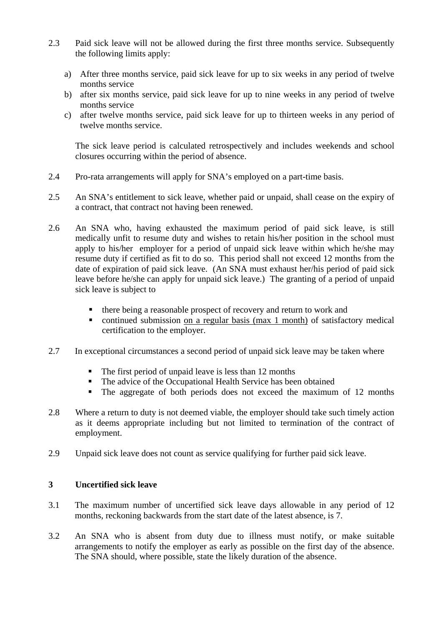- 2.3 Paid sick leave will not be allowed during the first three months service. Subsequently the following limits apply:
	- a) After three months service, paid sick leave for up to six weeks in any period of twelve months service
	- b) after six months service, paid sick leave for up to nine weeks in any period of twelve months service
	- c) after twelve months service, paid sick leave for up to thirteen weeks in any period of twelve months service.

The sick leave period is calculated retrospectively and includes weekends and school closures occurring within the period of absence.

- 2.4 Pro-rata arrangements will apply for SNA's employed on a part-time basis.
- 2.5 An SNA's entitlement to sick leave, whether paid or unpaid, shall cease on the expiry of a contract, that contract not having been renewed.
- 2.6 An SNA who, having exhausted the maximum period of paid sick leave, is still medically unfit to resume duty and wishes to retain his/her position in the school must apply to his/her employer for a period of unpaid sick leave within which he/she may resume duty if certified as fit to do so. This period shall not exceed 12 months from the date of expiration of paid sick leave. (An SNA must exhaust her/his period of paid sick leave before he/she can apply for unpaid sick leave.) The granting of a period of unpaid sick leave is subject to
	- there being a reasonable prospect of recovery and return to work and
	- continued submission on a regular basis (max 1 month) of satisfactory medical certification to the employer.
- 2.7 In exceptional circumstances a second period of unpaid sick leave may be taken where
	- The first period of unpaid leave is less than 12 months
	- The advice of the Occupational Health Service has been obtained
	- The aggregate of both periods does not exceed the maximum of 12 months
- 2.8 Where a return to duty is not deemed viable, the employer should take such timely action as it deems appropriate including but not limited to termination of the contract of employment.
- 2.9 Unpaid sick leave does not count as service qualifying for further paid sick leave.

# **3 Uncertified sick leave**

- 3.1 The maximum number of uncertified sick leave days allowable in any period of 12 months, reckoning backwards from the start date of the latest absence, is 7.
- 3.2 An SNA who is absent from duty due to illness must notify, or make suitable arrangements to notify the employer as early as possible on the first day of the absence. The SNA should, where possible, state the likely duration of the absence.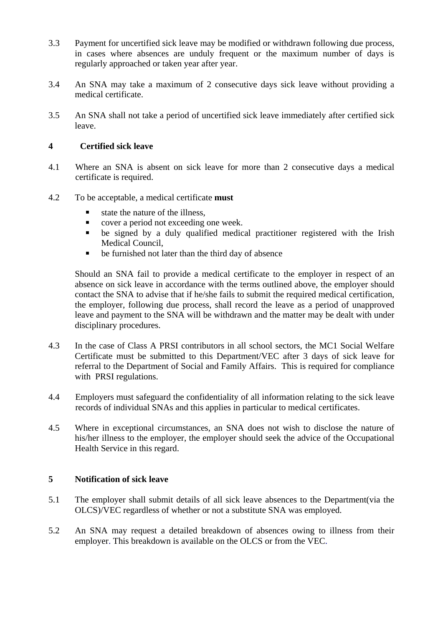- 3.3 Payment for uncertified sick leave may be modified or withdrawn following due process, in cases where absences are unduly frequent or the maximum number of days is regularly approached or taken year after year.
- 3.4 An SNA may take a maximum of 2 consecutive days sick leave without providing a medical certificate.
- 3.5 An SNA shall not take a period of uncertified sick leave immediately after certified sick leave.

#### **4 Certified sick leave**

- 4.1 Where an SNA is absent on sick leave for more than 2 consecutive days a medical certificate is required.
- 4.2 To be acceptable, a medical certificate **must**
	- state the nature of the illness,
	- **cover a period not exceeding one week.**
	- be signed by a duly qualified medical practitioner registered with the Irish Medical Council,
	- **be furnished not later than the third day of absence**

 Should an SNA fail to provide a medical certificate to the employer in respect of an absence on sick leave in accordance with the terms outlined above, the employer should contact the SNA to advise that if he/she fails to submit the required medical certification, the employer, following due process, shall record the leave as a period of unapproved leave and payment to the SNA will be withdrawn and the matter may be dealt with under disciplinary procedures.

- 4.3 In the case of Class A PRSI contributors in all school sectors, the MC1 Social Welfare Certificate must be submitted to this Department/VEC after 3 days of sick leave for referral to the Department of Social and Family Affairs. This is required for compliance with PRSI regulations.
- 4.4 Employers must safeguard the confidentiality of all information relating to the sick leave records of individual SNAs and this applies in particular to medical certificates.
- 4.5 Where in exceptional circumstances, an SNA does not wish to disclose the nature of his/her illness to the employer, the employer should seek the advice of the Occupational Health Service in this regard.

#### **5 Notification of sick leave**

- 5.1 The employer shall submit details of all sick leave absences to the Department(via the OLCS)/VEC regardless of whether or not a substitute SNA was employed.
- 5.2 An SNA may request a detailed breakdown of absences owing to illness from their employer. This breakdown is available on the OLCS or from the VEC.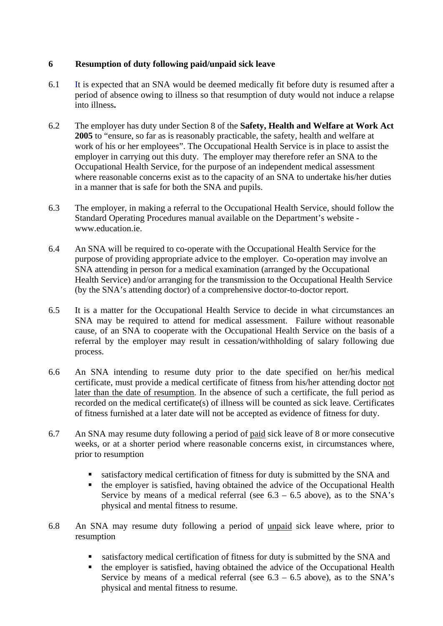# **6 Resumption of duty following paid/unpaid sick leave**

- 6.1 It is expected that an SNA would be deemed medically fit before duty is resumed after a period of absence owing to illness so that resumption of duty would not induce a relapse into illness**.**
- 6.2 The employer has duty under Section 8 of the **Safety, Health and Welfare at Work Act 2005** to "ensure, so far as is reasonably practicable, the safety, health and welfare at work of his or her employees". The Occupational Health Service is in place to assist the employer in carrying out this duty. The employer may therefore refer an SNA to the Occupational Health Service, for the purpose of an independent medical assessment where reasonable concerns exist as to the capacity of an SNA to undertake his/her duties in a manner that is safe for both the SNA and pupils.
- 6.3 The employer, in making a referral to the Occupational Health Service, should follow the Standard Operating Procedures manual available on the Department's website www.education.ie.
- 6.4 An SNA will be required to co-operate with the Occupational Health Service for the purpose of providing appropriate advice to the employer. Co-operation may involve an SNA attending in person for a medical examination (arranged by the Occupational Health Service) and/or arranging for the transmission to the Occupational Health Service (by the SNA's attending doctor) of a comprehensive doctor-to-doctor report.
- 6.5 It is a matter for the Occupational Health Service to decide in what circumstances an SNA may be required to attend for medical assessment. Failure without reasonable cause, of an SNA to cooperate with the Occupational Health Service on the basis of a referral by the employer may result in cessation/withholding of salary following due process.
- 6.6 An SNA intending to resume duty prior to the date specified on her/his medical certificate, must provide a medical certificate of fitness from his/her attending doctor not later than the date of resumption. In the absence of such a certificate, the full period as recorded on the medical certificate(s) of illness will be counted as sick leave. Certificates of fitness furnished at a later date will not be accepted as evidence of fitness for duty.
- 6.7 An SNA may resume duty following a period of paid sick leave of 8 or more consecutive weeks, or at a shorter period where reasonable concerns exist, in circumstances where, prior to resumption
	- satisfactory medical certification of fitness for duty is submitted by the SNA and
	- the employer is satisfied, having obtained the advice of the Occupational Health Service by means of a medical referral (see  $6.3 - 6.5$  above), as to the SNA's physical and mental fitness to resume.
- 6.8 An SNA may resume duty following a period of unpaid sick leave where, prior to resumption
	- satisfactory medical certification of fitness for duty is submitted by the SNA and
	- $\blacksquare$  the employer is satisfied, having obtained the advice of the Occupational Health Service by means of a medical referral (see  $6.3 - 6.5$  above), as to the SNA's physical and mental fitness to resume.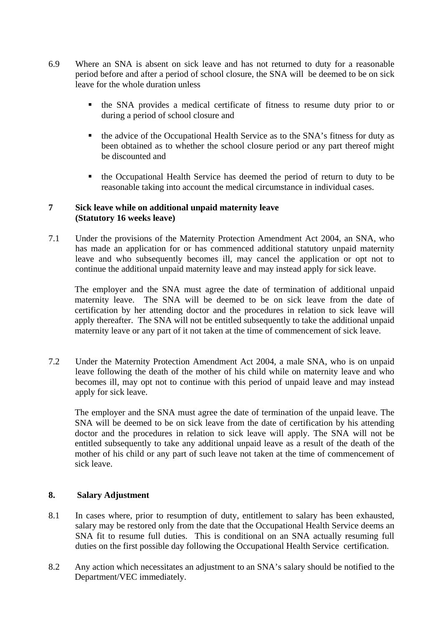- 6.9 Where an SNA is absent on sick leave and has not returned to duty for a reasonable period before and after a period of school closure, the SNA will be deemed to be on sick leave for the whole duration unless
	- the SNA provides a medical certificate of fitness to resume duty prior to or during a period of school closure and
	- the advice of the Occupational Health Service as to the SNA's fitness for duty as been obtained as to whether the school closure period or any part thereof might be discounted and
	- the Occupational Health Service has deemed the period of return to duty to be reasonable taking into account the medical circumstance in individual cases.

#### **7 Sick leave while on additional unpaid maternity leave (Statutory 16 weeks leave)**

7.1 Under the provisions of the Maternity Protection Amendment Act 2004, an SNA, who has made an application for or has commenced additional statutory unpaid maternity leave and who subsequently becomes ill, may cancel the application or opt not to continue the additional unpaid maternity leave and may instead apply for sick leave.

The employer and the SNA must agree the date of termination of additional unpaid maternity leave. The SNA will be deemed to be on sick leave from the date of certification by her attending doctor and the procedures in relation to sick leave will apply thereafter. The SNA will not be entitled subsequently to take the additional unpaid maternity leave or any part of it not taken at the time of commencement of sick leave.

7.2 Under the Maternity Protection Amendment Act 2004, a male SNA, who is on unpaid leave following the death of the mother of his child while on maternity leave and who becomes ill, may opt not to continue with this period of unpaid leave and may instead apply for sick leave.

The employer and the SNA must agree the date of termination of the unpaid leave. The SNA will be deemed to be on sick leave from the date of certification by his attending doctor and the procedures in relation to sick leave will apply. The SNA will not be entitled subsequently to take any additional unpaid leave as a result of the death of the mother of his child or any part of such leave not taken at the time of commencement of sick leave.

# **8. Salary Adjustment**

- 8.1 In cases where, prior to resumption of duty, entitlement to salary has been exhausted, salary may be restored only from the date that the Occupational Health Service deems an SNA fit to resume full duties. This is conditional on an SNA actually resuming full duties on the first possible day following the Occupational Health Service certification.
- 8.2 Any action which necessitates an adjustment to an SNA's salary should be notified to the Department/VEC immediately.